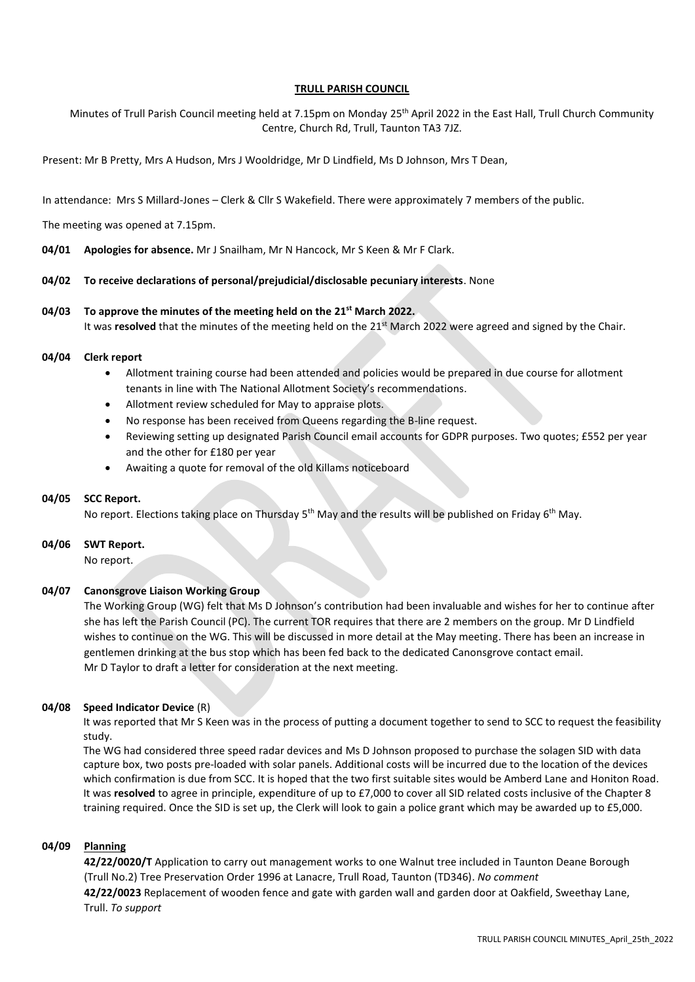# **TRULL PARISH COUNCIL**

Minutes of Trull Parish Council meeting held at 7.15pm on Monday 25<sup>th</sup> April 2022 in the East Hall, Trull Church Community Centre, Church Rd, Trull, Taunton TA3 7JZ.

Present: Mr B Pretty, Mrs A Hudson, Mrs J Wooldridge, Mr D Lindfield, Ms D Johnson, Mrs T Dean,

In attendance: Mrs S Millard-Jones – Clerk & Cllr S Wakefield. There were approximately 7 members of the public.

The meeting was opened at 7.15pm.

**04/01 Apologies for absence.** Mr J Snailham, Mr N Hancock, Mr S Keen & Mr F Clark.

## **04/02 To receive declarations of personal/prejudicial/disclosable pecuniary interests**. None

## **04/03 To approve the minutes of the meeting held on the 21st March 2022.**

It was **resolved** that the minutes of the meeting held on the 21<sup>st</sup> March 2022 were agreed and signed by the Chair.

#### **04/04 Clerk report**

- Allotment training course had been attended and policies would be prepared in due course for allotment tenants in line with The National Allotment Society's recommendations.
- Allotment review scheduled for May to appraise plots.
- No response has been received from Queens regarding the B-line request.
- Reviewing setting up designated Parish Council email accounts for GDPR purposes. Two quotes; £552 per year and the other for £180 per year
- Awaiting a quote for removal of the old Killams noticeboard

## **04/05 SCC Report.**

No report. Elections taking place on Thursday 5<sup>th</sup> May and the results will be published on Friday 6<sup>th</sup> May.

## **04/06 SWT Report.**

No report.

## **04/07 Canonsgrove Liaison Working Group**

The Working Group (WG) felt that Ms D Johnson's contribution had been invaluable and wishes for her to continue after she has left the Parish Council (PC). The current TOR requires that there are 2 members on the group. Mr D Lindfield wishes to continue on the WG. This will be discussed in more detail at the May meeting. There has been an increase in gentlemen drinking at the bus stop which has been fed back to the dedicated Canonsgrove contact email. Mr D Taylor to draft a letter for consideration at the next meeting.

## **04/08 Speed Indicator Device** (R)

It was reported that Mr S Keen was in the process of putting a document together to send to SCC to request the feasibility study.

The WG had considered three speed radar devices and Ms D Johnson proposed to purchase the solagen SID with data capture box, two posts pre-loaded with solar panels. Additional costs will be incurred due to the location of the devices which confirmation is due from SCC. It is hoped that the two first suitable sites would be Amberd Lane and Honiton Road. It was **resolved** to agree in principle, expenditure of up to £7,000 to cover all SID related costs inclusive of the Chapter 8 training required. Once the SID is set up, the Clerk will look to gain a police grant which may be awarded up to £5,000.

# **04/09 Planning**

**42/22/0020/T** Application to carry out management works to one Walnut tree included in Taunton Deane Borough (Trull No.2) Tree Preservation Order 1996 at Lanacre, Trull Road, Taunton (TD346). *No comment* **42/22/0023** Replacement of wooden fence and gate with garden wall and garden door at Oakfield, Sweethay Lane, Trull. *To support*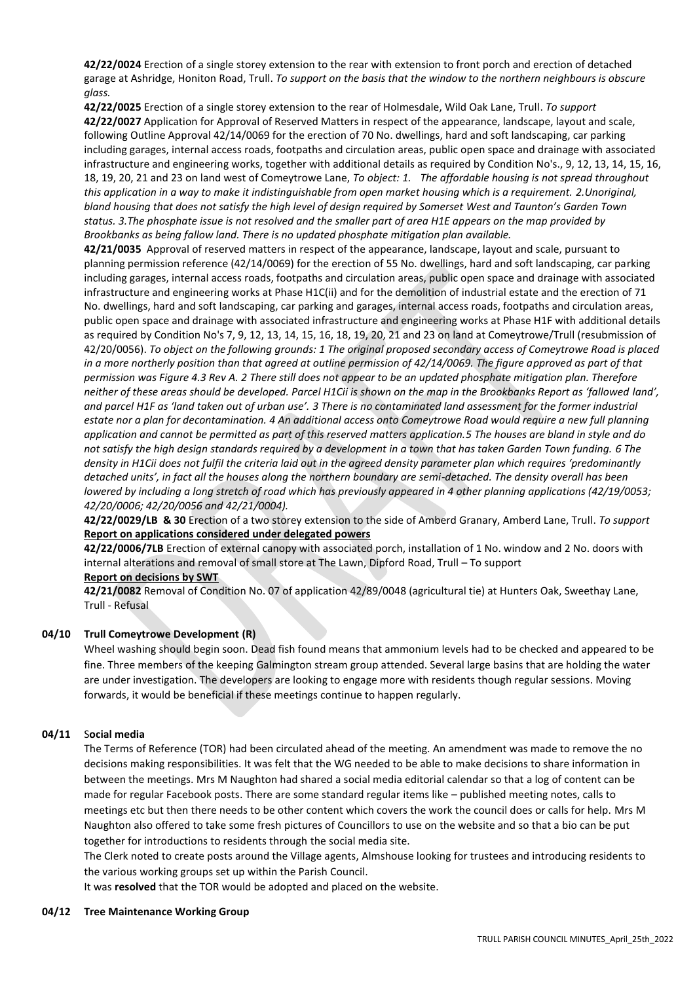**42/22/0024** Erection of a single storey extension to the rear with extension to front porch and erection of detached garage at Ashridge, Honiton Road, Trull. *To support on the basis that the window to the northern neighbours is obscure glass.*

**42/22/0025** Erection of a single storey extension to the rear of Holmesdale, Wild Oak Lane, Trull. *To support* **42/22/0027** Application for Approval of Reserved Matters in respect of the appearance, landscape, layout and scale, following Outline Approval 42/14/0069 for the erection of 70 No. dwellings, hard and soft landscaping, car parking including garages, internal access roads, footpaths and circulation areas, public open space and drainage with associated infrastructure and engineering works, together with additional details as required by Condition No's., 9, 12, 13, 14, 15, 16, 18, 19, 20, 21 and 23 on land west of Comeytrowe Lane, *To object: 1. The affordable housing is not spread throughout this application in a way to make it indistinguishable from open market housing which is a requirement. 2.Unoriginal, bland housing that does not satisfy the high level of design required by Somerset West and Taunton's Garden Town status. 3.The phosphate issue is not resolved and the smaller part of area H1E appears on the map provided by Brookbanks as being fallow land. There is no updated phosphate mitigation plan available.*

**42/21/0035** Approval of reserved matters in respect of the appearance, landscape, layout and scale, pursuant to planning permission reference (42/14/0069) for the erection of 55 No. dwellings, hard and soft landscaping, car parking including garages, internal access roads, footpaths and circulation areas, public open space and drainage with associated infrastructure and engineering works at Phase H1C(ii) and for the demolition of industrial estate and the erection of 71 No. dwellings, hard and soft landscaping, car parking and garages, internal access roads, footpaths and circulation areas, public open space and drainage with associated infrastructure and engineering works at Phase H1F with additional details as required by Condition No's 7, 9, 12, 13, 14, 15, 16, 18, 19, 20, 21 and 23 on land at Comeytrowe/Trull (resubmission of 42/20/0056). *To object on the following grounds: 1 The original proposed secondary access of Comeytrowe Road is placed in a more northerly position than that agreed at outline permission of 42/14/0069. The figure approved as part of that permission was Figure 4.3 Rev A. 2 There still does not appear to be an updated phosphate mitigation plan. Therefore neither of these areas should be developed. Parcel H1Cii is shown on the map in the Brookbanks Report as 'fallowed land', and parcel H1F as 'land taken out of urban use'. 3 There is no contaminated land assessment for the former industrial estate nor a plan for decontamination. 4 An additional access onto Comeytrowe Road would require a new full planning application and cannot be permitted as part of this reserved matters application.5 The houses are bland in style and do not satisfy the high design standards required by a development in a town that has taken Garden Town funding. 6 The density in H1Cii does not fulfil the criteria laid out in the agreed density parameter plan which requires 'predominantly detached units', in fact all the houses along the northern boundary are semi-detached. The density overall has been lowered by including a long stretch of road which has previously appeared in 4 other planning applications (42/19/0053; 42/20/0006; 42/20/0056 and 42/21/0004).*

**42/22/0029/LB & 30** Erection of a two storey extension to the side of Amberd Granary, Amberd Lane, Trull. *To support* **Report on applications considered under delegated powers** 

**42/22/0006/7LB** Erection of external canopy with associated porch, installation of 1 No. window and 2 No. doors with internal alterations and removal of small store at The Lawn, Dipford Road, Trull – To support

**Report on decisions by SWT**

**42/21/0082** Removal of Condition No. 07 of application 42/89/0048 (agricultural tie) at Hunters Oak, Sweethay Lane, Trull - Refusal

# **04/10 Trull Comeytrowe Development (R)**

Wheel washing should begin soon. Dead fish found means that ammonium levels had to be checked and appeared to be fine. Three members of the keeping Galmington stream group attended. Several large basins that are holding the water are under investigation. The developers are looking to engage more with residents though regular sessions. Moving forwards, it would be beneficial if these meetings continue to happen regularly.

# **04/11** S**ocial media**

The Terms of Reference (TOR) had been circulated ahead of the meeting. An amendment was made to remove the no decisions making responsibilities. It was felt that the WG needed to be able to make decisions to share information in between the meetings. Mrs M Naughton had shared a social media editorial calendar so that a log of content can be made for regular Facebook posts. There are some standard regular items like – published meeting notes, calls to meetings etc but then there needs to be other content which covers the work the council does or calls for help. Mrs M Naughton also offered to take some fresh pictures of Councillors to use on the website and so that a bio can be put together for introductions to residents through the social media site.

The Clerk noted to create posts around the Village agents, Almshouse looking for trustees and introducing residents to the various working groups set up within the Parish Council.

It was **resolved** that the TOR would be adopted and placed on the website.

# **04/12 Tree Maintenance Working Group**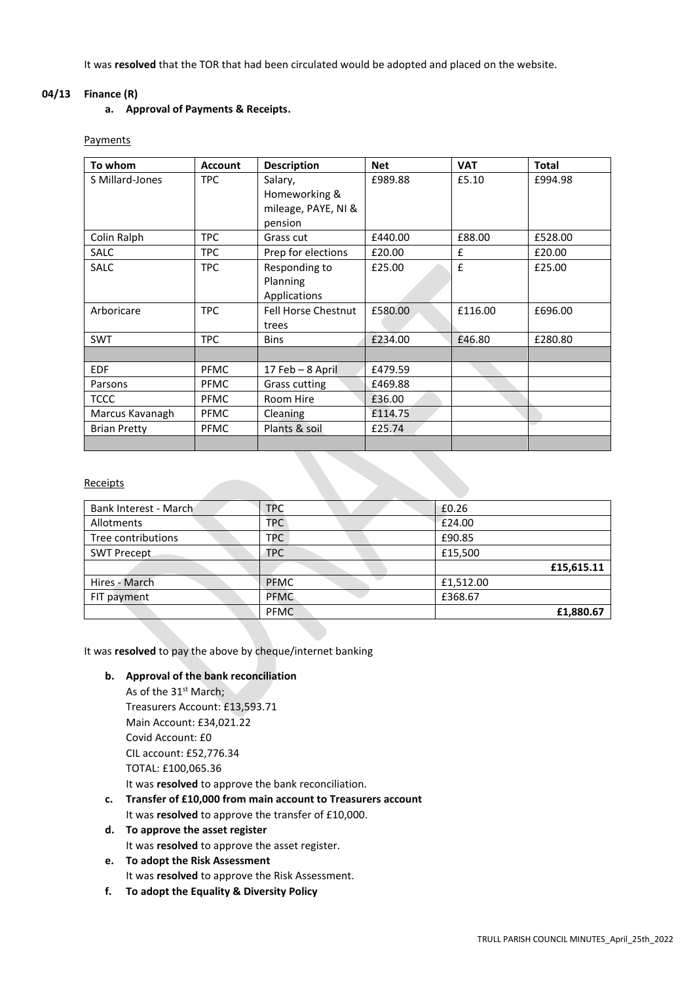It was **resolved** that the TOR that had been circulated would be adopted and placed on the website.

## **04/13 Finance (R)**

# **a. Approval of Payments & Receipts.**

## Payments

| To whom             | <b>Account</b> | <b>Description</b>         | <b>Net</b> | <b>VAT</b> | <b>Total</b> |
|---------------------|----------------|----------------------------|------------|------------|--------------|
| S Millard-Jones     | TPC.           | Salary,                    | £989.88    | £5.10      | £994.98      |
|                     |                | Homeworking &              |            |            |              |
|                     |                | mileage, PAYE, NI &        |            |            |              |
|                     |                | pension                    |            |            |              |
| Colin Ralph         | TPC.           | Grass cut                  | £440.00    | £88.00     | £528.00      |
| <b>SALC</b>         | <b>TPC</b>     | Prep for elections         | £20.00     | £          | £20.00       |
| <b>SALC</b>         | <b>TPC</b>     | Responding to              | £25.00     | £          | £25.00       |
|                     |                | Planning                   |            |            |              |
|                     |                | Applications               |            |            |              |
| Arboricare          | TPC            | <b>Fell Horse Chestnut</b> | £580.00    | £116.00    | £696.00      |
|                     |                | trees                      |            |            |              |
| <b>SWT</b>          | TPC            | <b>Bins</b>                | £234.00    | £46.80     | £280.80      |
|                     |                |                            |            |            |              |
| <b>EDF</b>          | <b>PFMC</b>    | 17 Feb - 8 April           | £479.59    |            |              |
| Parsons             | <b>PFMC</b>    | Grass cutting              | £469.88    |            |              |
| <b>TCCC</b>         | <b>PFMC</b>    | Room Hire                  | £36.00     |            |              |
| Marcus Kavanagh     | <b>PFMC</b>    | Cleaning                   | £114.75    |            |              |
| <b>Brian Pretty</b> | PFMC           | Plants & soil              | £25.74     |            |              |
|                     |                |                            |            |            |              |

## **Receipts**

| Bank Interest - March | <b>TPC</b>  | £0.26      |
|-----------------------|-------------|------------|
| Allotments            | <b>TPC</b>  | £24.00     |
| Tree contributions    | <b>TPC</b>  | £90.85     |
| <b>SWT Precept</b>    | <b>TPC</b>  | £15,500    |
|                       |             | £15,615.11 |
| Hires - March         | <b>PFMC</b> | £1,512.00  |
| FIT payment           | <b>PFMC</b> | £368.67    |
|                       | <b>PFMC</b> | £1,880.67  |

It was **resolved** to pay the above by cheque/internet banking

## **b. Approval of the bank reconciliation**

As of the 31<sup>st</sup> March; Treasurers Account: £13,593.71 Main Account: £34,021.22 Covid Account: £0 CIL account: £52,776.34 TOTAL: £100,065.36 It was **resolved** to approve the bank reconciliation.

- **c. Transfer of £10,000 from main account to Treasurers account** It was **resolved** to approve the transfer of £10,000.
- **d. To approve the asset register** It was **resolved** to approve the asset register.
- **e. To adopt the Risk Assessment**  It was **resolved** to approve the Risk Assessment.
- **f. To adopt the Equality & Diversity Policy**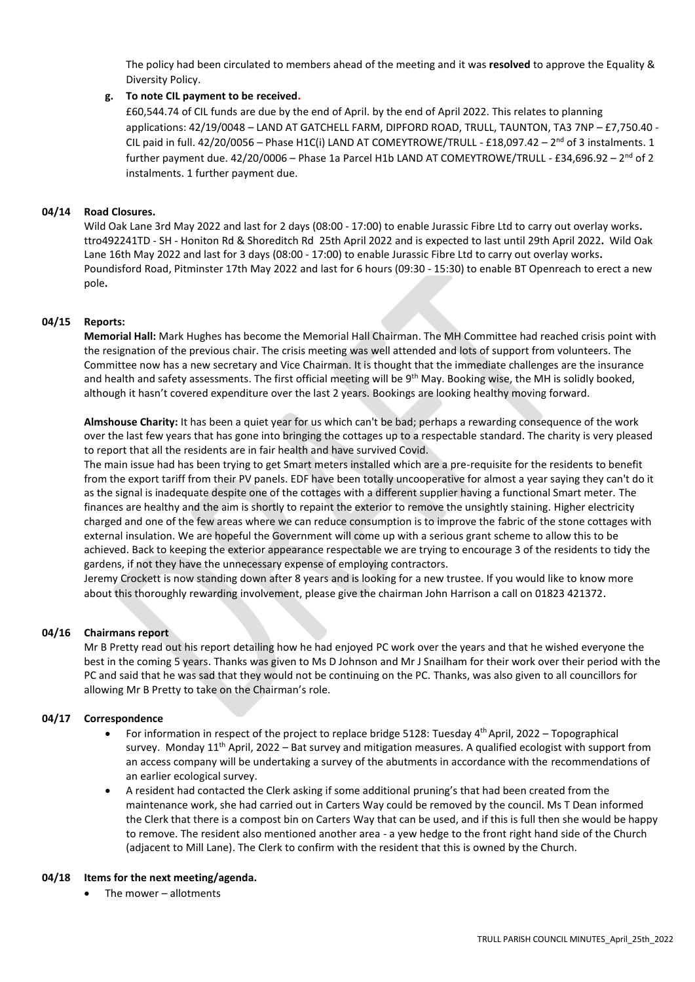The policy had been circulated to members ahead of the meeting and it was **resolved** to approve the Equality & Diversity Policy.

# **g. To note CIL payment to be received.**

£60,544.74 of CIL funds are due by the end of April. by the end of April 2022. This relates to planning applications: 42/19/0048 – LAND AT GATCHELL FARM, DIPFORD ROAD, TRULL, TAUNTON, TA3 7NP – £7,750.40 - CIL paid in full.  $42/20/0056$  – Phase H1C(i) LAND AT COMEYTROWE/TRULL - £18,097.42 – 2<sup>nd</sup> of 3 instalments. 1 further payment due. 42/20/0006 – Phase 1a Parcel H1b LAND AT COMEYTROWE/TRULL - £34,696.92 – 2<sup>nd</sup> of 2 instalments. 1 further payment due.

# **04/14 Road Closures.**

Wild Oak Lane 3rd May 2022 and last for 2 days (08:00 - 17:00) to enable Jurassic Fibre Ltd to carry out overlay works**.** ttro492241TD - SH - Honiton Rd & Shoreditch Rd 25th April 2022 and is expected to last until 29th April 2022**.** Wild Oak Lane 16th May 2022 and last for 3 days (08:00 - 17:00) to enable Jurassic Fibre Ltd to carry out overlay works**.** Poundisford Road, Pitminster 17th May 2022 and last for 6 hours (09:30 - 15:30) to enable BT Openreach to erect a new pole**.**

# **04/15 Reports:**

**Memorial Hall:** Mark Hughes has become the Memorial Hall Chairman. The MH Committee had reached crisis point with the resignation of the previous chair. The crisis meeting was well attended and lots of support from volunteers. The Committee now has a new secretary and Vice Chairman. It is thought that the immediate challenges are the insurance and health and safety assessments. The first official meeting will be  $9<sup>th</sup>$  May. Booking wise, the MH is solidly booked, although it hasn't covered expenditure over the last 2 years. Bookings are looking healthy moving forward.

**Almshouse Charity:** It has been a quiet year for us which can't be bad; perhaps a rewarding consequence of the work over the last few years that has gone into bringing the cottages up to a respectable standard. The charity is very pleased to report that all the residents are in fair health and have survived Covid.

The main issue had has been trying to get Smart meters installed which are a pre-requisite for the residents to benefit from the export tariff from their PV panels. EDF have been totally uncooperative for almost a year saying they can't do it as the signal is inadequate despite one of the cottages with a different supplier having a functional Smart meter. The finances are healthy and the aim is shortly to repaint the exterior to remove the unsightly staining. Higher electricity charged and one of the few areas where we can reduce consumption is to improve the fabric of the stone cottages with external insulation. We are hopeful the Government will come up with a serious grant scheme to allow this to be achieved. Back to keeping the exterior appearance respectable we are trying to encourage 3 of the residents to tidy the gardens, if not they have the unnecessary expense of employing contractors.

Jeremy Crockett is now standing down after 8 years and is looking for a new trustee. If you would like to know more about this thoroughly rewarding involvement, please give the chairman John Harrison a call on 01823 421372.

# **04/16 Chairmans report**

Mr B Pretty read out his report detailing how he had enjoyed PC work over the years and that he wished everyone the best in the coming 5 years. Thanks was given to Ms D Johnson and Mr J Snailham for their work over their period with the PC and said that he was sad that they would not be continuing on the PC. Thanks, was also given to all councillors for allowing Mr B Pretty to take on the Chairman's role.

# **04/17 Correspondence**

- For information in respect of the project to replace bridge 5128: Tuesday 4<sup>th</sup> April, 2022 Topographical survey. Monday 11<sup>th</sup> April, 2022 – Bat survey and mitigation measures. A qualified ecologist with support from an access company will be undertaking a survey of the abutments in accordance with the recommendations of an earlier ecological survey.
- A resident had contacted the Clerk asking if some additional pruning's that had been created from the maintenance work, she had carried out in Carters Way could be removed by the council. Ms T Dean informed the Clerk that there is a compost bin on Carters Way that can be used, and if this is full then she would be happy to remove. The resident also mentioned another area - a yew hedge to the front right hand side of the Church (adjacent to Mill Lane). The Clerk to confirm with the resident that this is owned by the Church.

## **04/18 Items for the next meeting/agenda.**

The mower - allotments